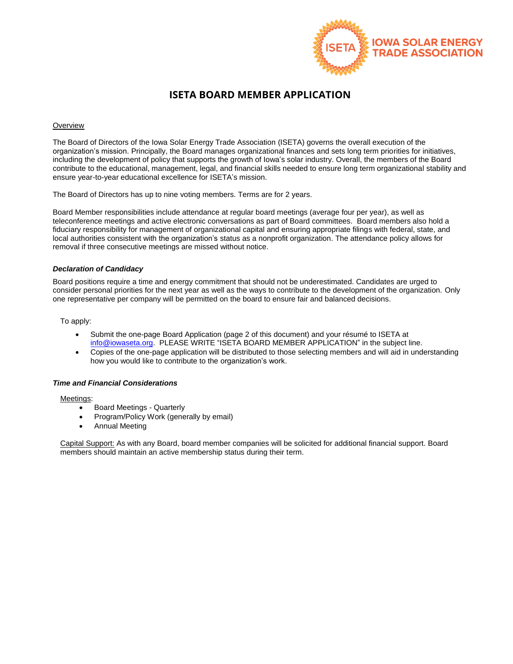

## **ISETA BOARD MEMBER APPLICATION**

#### **Overview**

The Board of Directors of the Iowa Solar Energy Trade Association (ISETA) governs the overall execution of the organization's mission. Principally, the Board manages organizational finances and sets long term priorities for initiatives, including the development of policy that supports the growth of Iowa's solar industry. Overall, the members of the Board contribute to the educational, management, legal, and financial skills needed to ensure long term organizational stability and ensure year-to-year educational excellence for ISETA's mission.

The Board of Directors has up to nine voting members. Terms are for 2 years.

Board Member responsibilities include attendance at regular board meetings (average four per year), as well as teleconference meetings and active electronic conversations as part of Board committees. Board members also hold a fiduciary responsibility for management of organizational capital and ensuring appropriate filings with federal, state, and local authorities consistent with the organization's status as a nonprofit organization. The attendance policy allows for removal if three consecutive meetings are missed without notice.

### *Declaration of Candidacy*

Board positions require a time and energy commitment that should not be underestimated. Candidates are urged to consider personal priorities for the next year as well as the ways to contribute to the development of the organization. Only one representative per company will be permitted on the board to ensure fair and balanced decisions.

To apply:

- Submit the one-page Board Application (page 2 of this document) and your résumé to ISETA at [info@iowaseta.org.](mailto:info@iowaseta.org) PLEASE WRITE "ISETA BOARD MEMBER APPLICATION" in the subject line.
- Copies of the one-page application will be distributed to those selecting members and will aid in understanding how you would like to contribute to the organization's work.

### *Time and Financial Considerations*

Meetings:

- Board Meetings Quarterly
- Program/Policy Work (generally by email)
- Annual Meeting

Capital Support: As with any Board, board member companies will be solicited for additional financial support. Board members should maintain an active membership status during their term.